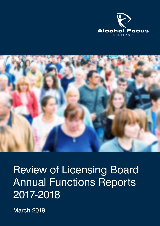



# Review of Licensing Board Annual Functions Reports 2017-2018

March 2019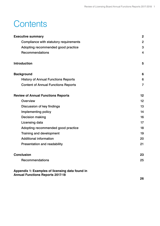## **Contents**

| <b>Executive summary</b>                        | $\mathbf{2}$   |
|-------------------------------------------------|----------------|
| Compliance with statutory requirements          | $\overline{2}$ |
| Adopting recommended good practice              | 3              |
| Recommendations                                 | 4              |
| <b>Introduction</b>                             | 5              |
| <b>Background</b>                               | 6              |
| <b>History of Annual Functions Reports</b>      | 6              |
| <b>Content of Annual Functions Reports</b>      | $\overline{7}$ |
| <b>Review of Annual Functions Reports</b>       | 12             |
| Overview                                        | 12             |
| Discussion of key findings                      | 13             |
| Implementing policy                             | 14             |
| <b>Decision making</b>                          | 16             |
| Licensing data                                  | 17             |
| Adopting recommended good practice              | 18             |
| Training and development                        | 19             |
| <b>Additional information</b>                   | 20             |
| <b>Presentation and readability</b>             | 21             |
| <b>Conclusion</b>                               | 23             |
| Recommendations                                 | 25             |
| Appendix 1: Examples of licensing data found in |                |
| <b>Annual Functions Reports 2017-18</b>         | 26             |
|                                                 |                |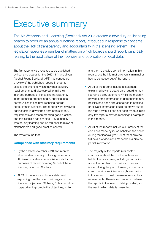## <span id="page-3-0"></span>Executive summary

The Air Weapons and Licensing (Scotland) Act 2015 created a new duty on licensing boards to produce an annual functions report, introduced in response to concerns about the lack of transparency and accountability in the licensing system. The legislation specifies a number of matters on which boards should report, principally relating to the application of their policies and publication of local data.

The first reports were required to be published by licensing boards for the 2017-18 financial year. Alcohol Focus Scotland (AFS) has conducted a review of the published reports in order to assess the extent to which they met statutory requirements, and also served to fulfil their intended purpose of increasing transparency in the licensing process and supporting local communities to see how licensing boards conduct their business. The reports were reviewed against criteria developed from both statutory requirements and recommended good practice, and this exercise has enabled AFS to identify whether any learning can be fed back to relevant stakeholders and good practice shared.

The review found that:

## **Compliance with statutory requirements**

- By the end of November 2018 (five months after the deadline for publishing the reports) AFS was only able to locate 24 reports for the purposes of review, covering 32 out of the 40 licensing boards in Scotland.
- All 24 of the reports include a statement explaining how the board paid regard to the licensing objectives. Of these, 6 clearly outline steps taken to promote the objectives, while

a further 10 provide some information in this regard, but the information given is minimal or had to be teased out of the report.

- All 24 of the reports include a statement explaining how the board paid regard to their licensing policy statement. While the majority provide some information to demonstrate how policies had been operationalised in practice, or relevant information could be drawn out of the report even if it had not been made explicit, only five reports provide meaningful examples in this regard.
- All 24 of the reports include a summary of the decisions made by (or on behalf of) the board during the financial year; 20 of them provide full details of decisions made while 4 provide partial information.
- The majority of the reports (20) contain information about the number of licences held in the board area, including information about the number of occasional licences issued during the year. However, four reports do not provide sufficient enough information in this regard to meet the minimum statutory requirements. There is also variation between the reports in the level of detail provided, and the way in which data is presented.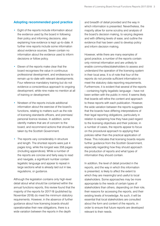## <span id="page-4-0"></span>**Adopting recommended good practice**

- Eight of the reports include information about the evidence used by the board in following their policy and informing decisions, also explaining how evidence is kept up-to-date. A further nine reports include some information about evidence sources. Seven contain no information about the evidence used to inform decisions or follow policy.
- Eleven of the reports make clear that the board recognises the value in continuous professional development, and endeavours to remain up-to-date with relevant developments. Four reference mandatory training but do not evidence a conscientious approach to ongoing development, while nine make no mention at all of training or development.
- Nineteen of the reports include additional information about the exercise of the board's functions, relating to matters such as the role of licensing standards officers, and premises/ personal licence reviews. In addition, some identify matters that are of concern to the board, and recommend actions that should be taken by the Scottish Government.
- The reports vary considerably in structure and length. The shortest reports were just 4 pages long, while the longest was 358 pages (including appendices). While a number of the reports are concise and fairly easy to read and navigate, a significant number contain legalistic language and appear to repeat in large sections what is already laid out in law, regulations, or guidance.

Although the legislation contains only high-level detail about what should be contained within the annual functions reports, this review found that the majority of the reports for 2017-18 (published by November 2018) do meet the minimum statutory requirements. However, in the absence of further guidance about how licensing boards should operationalise their new obligations, there is a wide variation between the reports in the depth

and breadth of detail provided and the way in which information is presented. Nevertheless, the majority allow for some scrutiny and analysis of the board's decision making, to varying degrees and with differing levels of ease, and outline the evidence that has been used to develop policy and inform decision making.

However, while there are many examples of good practice, a number of the reports contain only minimal information and are unlikely to enable communities/stakeholders to assess and understand the operation of the licensing system in their local area. It is of note that four of the reports do not provide sufficient information to meet the statutory data reporting requirements. Furthermore, it is evident that several of the reports – containing highly legalistic language – have not been written with the public in mind. It seems likely that boards will refine the content and approach to these reports with each publication. However, the wide variation between the reports suggests that the boards have differing interpretations of their legal reporting obligations, particularly in relation to explaining how they have paid regard to the licensing objectives and their policies; in a number of cases, the reports appear to focus on the procedural approach to applying their policies rather than the practical application of these. This indicates that licensing boards require further guidance from the Scottish Government, especially regarding how they should approach the production of reports and what types of information they should contain.

In addition, the level of detail provided in the reports, and the way in which this information is presented, is likely to affect the extent to which they are meaningful and useful to local stakeholders. Some approaches may be more appropriate to the needs of certain types of stakeholders than others, depending on their role, their reasons for accessing the reports, and their existing levels of knowledge. As such, it will be essential that local stakeholders are consulted about the form and content of the reports, in order to ensure that future reports are developed relevant to their needs.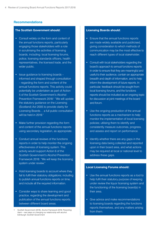#### <span id="page-5-0"></span>**Recommendations**

#### **The Scottish Government should:**

- Consult widely on the form and content of the annual functions reports, particularly engaging those stakeholders with a role in scrutinising the activities of licensing boards, including: local licensing forums, police, licensing standards officers, health representatives, the licensed trade, and the wider public.
- Issue guidance to licensing boards informed and shaped through consultation – regarding the form and content of the annual functions reports. This activity could potentially be undertaken as part of Action 5 of the Scottish Government's Alcohol Prevention Framework 2018:<sup>1</sup> "We will update the statutory guidance on the Licensing (Scotland) Act 2005 to provide clarity for Licensing Boards… a full public consultation will be held in 2019."
- Make further provision regarding the form and content of the annual functions reports using secondary legislation, as appropriate.
- Conduct annual reviews of the functions reports in order to help monitor the ongoing effectiveness of licensing system. This activity would support Action 6 of the Scottish Government's Alcohol Prevention Framework 2018: "We will keep the licensing system under review."
- Hold licensing boards to account where they fail to fulfil their statutory obligations; including to publish annual functions reports on time, and include all the required information.
- Consider ways to share learning and good practice, regarding the development and publication of the annual functions reports, between different board areas.

#### **Licensing Boards should:**

- Ensure that the annual functions reports are made widely available and publicised, giving consideration to which methods of communication may be the most effective to reach different types of local stakeholder.
- Consult with local stakeholders regarding the board's approach to annual functions reports in order to ensure that they are meaningful and useful to their audience, contain an appropriate breadth and depth of information, and to help inform the development of future reports. In particular, feedback should be sought from local licensing forums, and the functions reports should be included as an ongoing topic for discussion at joint meetings of the board and forum.
- Use the ongoing production of the annual functions reports as a mechanism to help monitor the implementation of local licensing policies; utilising them to identify and consistently measure outcomes, progress, and assess and report on performance.
- Identify whether there are any gaps in the licensing data being collected and reported upon in their board area, and what actions may be required at local or national level to address these gaps.

#### **Local Licensing Forums should:**

- Use the annual functions reports as a tool to help fulfil their statutory purpose of keeping under review the liquor licensing system and the functioning of the licensing board(s) in their area.
- Give advice and make recommendations to licensing boards regarding the functions reports themselves, and any matters arising from them.

<sup>1</sup> Scottish Government (2018). *Alcohol Framework 2018: Preventing Harm – next steps on changing our relationship with alcohol*. Edinburgh: Scottish Government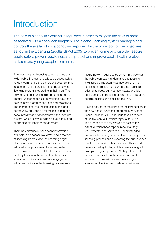## <span id="page-6-0"></span>**Introduction**

The sale of alcohol in Scotland is regulated in order to mitigate the risks of harm associated with alcohol consumption. The alcohol licensing system manages and controls the availability of alcohol, underpinned by the promotion of five objectives set out in the Licensing (Scotland) Act 2005: to prevent crime and disorder, secure public safety, prevent public nuisance, protect and improve public health, protect children and young people from harm.

To ensure that the licensing system serves the wider public interest, it needs to be accountable to local communities. It is therefore essential that local communities are informed about how the licensing system is operating in their area. The new requirement for licensing boards to publish annual function reports, summarising how their actions have promoted the licensing objectives and therefore served the interests of the local community, provides a vital means to increase accountability and transparency in the licensing system- which is key to building public trust and supporting stakeholder engagement.

There has historically been scant information available in an accessible format about the work of licensing boards, and the licensing pages of local authority websites mainly focus on the administrative processes of licensing rather than its overall purpose. If the functions reports are truly to explain the work of the boards to local communities, and improve engagement with communities in the licensing process as a

result, they will require to be written in a way that the public can easily understand and relate to. It will also be important that they do not simply replicate the limited data currently available from existing sources, but that they instead provide public access to meaningful information about the board's policies and decision-making.

Having actively campaigned for the introduction of the new annual functions reporting duty, Alcohol Focus Scotland (AFS) has undertaken a review of the first annual functions reports, for 2017-18. The purpose of this review was to assess the extent to which these reports meet statutory requirements, and serve to fulfil their intended purpose of ensuring increased transparency in the licensing process and supporting the public to see how boards conduct their business. This report presents the key findings of this review along with examples of good practice. We hope that it will be useful to boards, to those who support them, and also to those with a role in reviewing and scrutinising the licensing system in their area.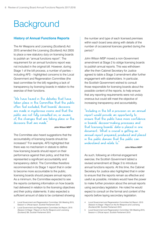## <span id="page-7-0"></span>**Background**

### **History of Annual Functions Reports**

The Air Weapons and Licensing (Scotland) Act 2015 amended the Licensing (Scotland) Act 2005 to place a new statutory duty on licensing boards to publish an "annual functions report". The requirement for an annual functions report was not included in the original bill. However, during Stage 1 of the bill process, a number of parties – including AFS – highlighted concerns to the Local Government and Regeneration Committee (the lead committee for the bill) regarding a lack of transparency by licensing boards in relation to the exercise of their functions.

"We have heard in the debates that have taken place in the Committee that the public often feel excluded, that boards' decisions are made in mysterious rooms and that the public are not fully consulted on, or aware of, the changes that are taking place or the decisions that are made."

#### John Wilson MSP2

The Committee also heard suggestions that the accountability of licensing boards should be increased.3 For example, AFS highlighted that there was no mechanism in statute to define how licensing boards should report on their performance against their policy, and that this represented a significant accountability and transparency deficit. The Committee therefore recommended in its Stage 1 report that in order to become more accountable to the public, licensing boards should prepare annual reports. As a minimum, the Committee expected to see the reports containing information on how boards had delivered in relation to the licensing objectives and their policy statements. It also expected a sufficient amount of data to be contained showing the number and type of each licensed premises within each board area along with details of the number of occasional licences granted during the period.4

John Wilson MSP moved a non-Government amendment at Stage 2 to oblige licensing boards to publish annual reports. This was withdrawn after the then Cabinet Secretary for Justice agreed to table a Stage 3 amendment after further engagement with stakeholders. In particular, the Scottish Government wished to consult those responsible for licensing boards about the possible content of the reports, to help ensure that any reporting requirements were not unduly onerous but could still meet the objective of increasing transparency and accountability.

"Including in the bill a provision on an annual report would provide an opportunity to ensure that the public have more confidence in boards' decision-making processes and that licensing boards' data is placed in one document... What is crucial is getting an annual report prepared, produced and placed in the public domain that the public can understand and relate to."

#### John Wilson MSP5

As such, following an informal engagement exercise, the Scottish Government tabled a revised amendment at Stage 3 to introduce annual functions reports. At this time, the Cabinet Secretary for Justice also highlighted that in order to ensure that the reports remain as effective and useful as possible, ministers would have the power to make further provision about the annual reports using secondary legislation. He noted he would expect to consult on the format and content of the reports before laying secondary legislation.

<sup>2</sup> Local Government and Regeneration Committee 15th Meeting 2015, Session 4, Official report, Scottish Parliament 2015

<sup>3</sup> Local Government and Regeneration Committee 3rd Report, 2015 (Session 4) Stage 1 Report on the Air Weapons and Licensing (Scotland) Bill, Scottish Parliament 2015

<sup>4</sup> Local Government and Regeneration Committee 3rd Report, 2015 (Session 4) Stage 1 Report on the Air Weapons and Licensing (Scotland) Bill, Scottish Parliament 2015

<sup>5</sup> Local Government and Regeneration Committee 15th Meeting 2015, Session 4, Official report, Scottish Parliament 2015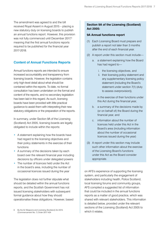<span id="page-8-0"></span>The amendment was agreed to and the bill received Royal Assent in August 2015 – placing a new statutory duty on licensing boards to publish an annual functions report. However, this provision was not fully commenced until December 2017,<sup>6</sup> meaning that the first annual functions reports required to be published for the financial year 2017-2018.

## **Content of Annual Functions Reports**

Annual functions reports are intended to ensure increased accountability and transparency from licensing boards. However, the legislation contains only high-level detail about what should be contained within the reports. To date, no formal consultation has been undertaken on the format and content of the reports, and no secondary legislation has been laid in this regard. As such, licensing boards have been provided with little practical guidance to assist them with interpreting their new statutory obligations or the preparation of the reports.

In summary, under Section 9A of the Licensing (Scotland) Act 2005, licensing boards are legally obligated to include within the reports:

- A statement explaining how the boards have had regard to the licensing objectives and their policy statements in the exercise of their functions
- A summary of the decisions taken by each board over the relevant financial year including decisions by officers under delegated powers
- The number of licences held under the Act in the board's area, including the number of occasional licences issued during the year

The legislation does not further stipulate what should be detailed within the annual functions reports, and the Scottish Government has not issued licensing stakeholders with subsequent formal guidance about how they should operationalise these obligations. However, based

## **Section 9A of the Licensing (Scotland) Act 2005:**

#### **9A Annual functions report**

- (1) Each Licensing Board must prepare and publish a report not later than 3 months after the end of each financial year.
- (2) A report under this section must include
	- a. a statement explaining how the Board has had regard to
		- i. the licensing objectives, and
		- ii. their licensing policy statement and any supplementary licensing policy statement (including the Board's statement under section 7(1) (duty to assess overprovision)),

in the exercise of their functions under this Act during the financial year,

- b. a summary of the decisions made by (or on behalf of) the Board during the financial year, and
- c. information about the number of licences held under this Act in the Board's area (including information about the number of occasional licences issued during the year)
- (3) A report under this section may include such other information about the exercise of the Licensing Board's functions under this Act as the Board consider appropriate.

on AFS's experience of supporting the licensing system, and particularly the engagement of stakeholders including health, Police Scotland, local licensing forums and community groups, AFS compiled a suggested list of information that could be included in the annual functions reports as a matter of good practice, which was shared with relevant stakeholders. This information is detailed below, provided under the relevant sections of the Licensing (Scotland) Act 2005 to which it relates.

<sup>6</sup> By the Air Weapons and Licensing (Scotland) Act 2015 (Commencement No. 7) Order 2017-424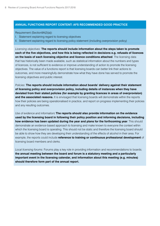#### **ANNUAL FUNCTIONS REPORT CONTENT: AFS RECOMMENDED GOOD PRACTICE**

Requirement (Section9A(2)(a)):

- I. Statement explaining regard to licensing objectives
- II. Statement explaining regard to licensing policy statement (including overprovision policy)

*Licensing objectives*: **The reports should include information about the steps taken to promote each of the five objectives, and how this is being reflected in decisions e.g. refusals of licences on the basis of each licensing objective and licence conditions attached**. The licensing data that has historically been made available, such as statistical information about the numbers and types of licences, is not sufficient to evidence or improve understanding of action to promote the licensing objectives. The value of a functions report is that licensing boards can better link their actions to outcomes, and more meaningfully demonstrate how what they have done has served to promote the licensing objectives and public interest.

*Policies*: **The reports should include information about boards' delivery against their statement of licensing policy and overprovision policy, including details of instances when they have deviated from their stated policies (for example by granting licences in areas of overprovision) and the associated reasons.** It is envisaged that licensing boards will demonstrate within the reports how their policies are being operationalised in practice, and report on progress implementing their policies and any resulting outcomes.

*Use of evidence and information***: The reports should also provide information on the evidence used by the licensing board in following their policy position and informing decisions, including how evidence has been updated during the year and plans for the forthcoming year**. This should demonstrate an evidence-based approach to licensing and make known to everyone the context within which the licensing board is operating. This should not be static and therefore the licensing board should be able to show how they are developing their understanding of the effects of alcohol in their area. For example, the reports could include **reference to training or continuous professional development** of licensing board members and clerks.

*Local licensing forums*: Forums play a key role in providing information and recommendations to boards; **the annual meeting between the board and forum is a statutory meeting and a particularly important event in the licensing calendar, and information about this meeting (e.g. minutes) should therefore form part of the annual report.**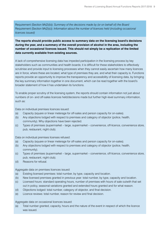Requirement (Section 9A(2)(b)): *Summary of the decisions made by (or on behalf of) the Board*  Requirement (Section 9A(2)(c)): *Information about the number of licences held (including occasional licences issued)* 

## **The reports should provide public access to summary data on the licensing board's decisions during the year, and a summary of the overall provision of alcohol in the area, including the number of occasional licences issued. This should not simply be a replication of the limited data currently available from existing sources.**

A lack of comprehensive licensing data has impeded participation in the licensing process by key stakeholders such as communities and health boards; it is difficult for these stakeholders to effectively scrutinise and provide input to licensing processes when they cannot easily ascertain how many licences are in force, where these are located, what type of premises they are, and what their capacity is. Functions reports provide an opportunity to improve the transparency and accessibility of licensing data, by bringing the key summary information together in one document, which can be read together with the board's broader statement of how it has undertaken its functions.

To enable proper scrutiny of the licensing system, the reports should contain information not just about numbers of on- and off-sales licences held/decisions made but further high-level summary information, such as:

Data on individual premises licences issued:

- (a) Capacity (square or linear meterage for off-sales and person capacity for on-sales).
- (b) Any objections lodged with respect to premises and category of objector (police, health, community). Why objections have been rejected.
- (c) Types of premises (supermarket large, supermarket convenience, off-licence, convenience store, pub, restaurant, night club).

Data on individual premises licenses refused:

- (a) Capacity (square or linear meterage for off-sales and person capacity for on-sales).
- (b) Any objections lodged with respect to premises and category of objector (police, health, community).
- (c) Types of premises (supermarket large, supermarket convenience, off-licence, convenience store, pub, restaurant, night club).
- (d) Reasons for refusal.

Aggregate data on premises licences issued:

- (a) Existing licensed premises: total number, by type, capacity and location.
- (b) New licensed premises granted in previous year: total number, by type, capacity and location.
- (c) Licensed hours: standard operating hours, number of premises with hours of sale outwith that set out in policy, seasonal variations granted and extended hours granted and for what reason.
- (d) Objections lodged: total number, category of objector, and final decision.
- (e) Licence reviews: total number, reason for review and final decision.

Aggregate data on occasional licences issued:

(a) Total number granted, capacity, hours and the nature of the event in respect of which the licence was issued.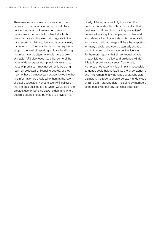There may remain some concerns about the potential burden annual reporting could place on licensing boards. However, AFS views the above-recommended content to be both proportionate and targeted. With regards to the data recommendations, licensing boards already gather much of the data that would be required to support the level of reporting indicated – although this information is often not made more widely available. AFS also recognises that some of the types of data suggested – principally relating to types of premises – may not currently be being routinely collected by licensing boards, or they may not have the necessary powers to require that this information be provided to them at the level of detail suggested. Nonetheless, AFS believes that the data outlined is that which would be of the greatest use to licensing stakeholders and where possible efforts should be made to provide this.

Finally, if the reports are truly to support the public to understand how boards conduct their business, it will be critical that they are written/ presented in a way that people can understand and relate to. Lengthy reports written in legalistic and bureaucratic language will likely be off-putting for many people, and could potentially act as a barrier to community engagement in licensing. Furthermore, reports that simply repeat what is already laid out in the law and guidance will do little to improve transparency. Conversely, well-presented reports written in plain, accessible language could help to facilitate the understanding and involvement of a wide range of stakeholders. Ultimately, the reports should be easily understood by all relevant stakeholders, including by members of the public without any technical expertise.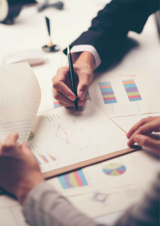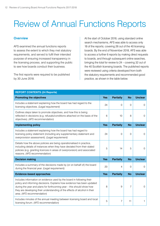## <span id="page-13-0"></span>Review of Annual Functions Reports

## **Overview**

AFS examined the annual functions reports to assess the extent to which they met statutory requirements, and served to fulfil their intended purpose of ensuring increased transparency in the licensing process, and supporting the public to see how boards conduct their business.

The first reports were required to be published by 30 June 2018.

At the start of October 2018, using standard online search mechanisms, AFS was able to access only 18 of the reports; covering 26 out of the 40 licensing boards. By the end of November 2018, AFS was able to access a further 6 reports by making direct requests to boards, and through subsequent online searches, bringing the total for review to 24 – covering 32 out of the 40 Scottish licensing boards. The published reports were reviewed using criteria developed from both the statutory requirements and recommended good practice, as shown in the table below.

| <b>REPORT CONTENTS (24 Reports)</b>                                                                                                                                                                                                                                                                                                  |            |                  |           |                |
|--------------------------------------------------------------------------------------------------------------------------------------------------------------------------------------------------------------------------------------------------------------------------------------------------------------------------------------|------------|------------------|-----------|----------------|
| <b>Promoting the objectives</b>                                                                                                                                                                                                                                                                                                      | <b>Yes</b> | <b>Partially</b> | <b>No</b> | <b>Unclear</b> |
| Includes a statement explaining how the board has had regard to the<br>licensing objectives. (Legal requirement)                                                                                                                                                                                                                     | 24         | $\Omega$         | $\Omega$  | $\Omega$       |
| Outlines steps taken to promote objectives, and how this is being<br>reflected in decisions (e.g. refusals/conditions attached on the basis of the<br>objectives). (AFS recommendation)                                                                                                                                              | 6          | 10               | 8         | 0              |
| <b>Implementing policy</b>                                                                                                                                                                                                                                                                                                           | <b>Yes</b> | <b>Partially</b> | <b>No</b> | <b>Unclear</b> |
| Includes a statement explaining how the board has had regard to<br>licensing policy statement (including any supplementary statement and<br>overprovision assessment). (Legal requirement)                                                                                                                                           | 24         | 0                | 0         | $\overline{0}$ |
| Details how the above policies are being operationalised in practice,<br>including details of instances when they have deviated from their stated<br>policies (e.g. granting licences in areas of overprovision) and associated<br>reasons. (AFS recommendation)                                                                     | 5          | 14               | 5         | $\Omega$       |
| <b>Decision making</b>                                                                                                                                                                                                                                                                                                               | <b>Yes</b> | <b>Partially</b> | <b>No</b> | <b>Unclear</b> |
| Includes a summary of the decisions made by (or on behalf of) the board<br>during the financial year. (Legal requirement).                                                                                                                                                                                                           | 20         | 4                | $\Omega$  | $\Omega$       |
| <b>Evidence-based approaches</b>                                                                                                                                                                                                                                                                                                     | <b>Yes</b> | <b>Partially</b> | <b>No</b> | <b>Unclear</b> |
| Includes information on evidence used by the board in following their<br>policy and informing decisions. Explains how evidence has been updated<br>during the year and plans for forthcoming year - this should show how<br>they are developing their understanding of the effects of alcohol in their<br>area. (AFS recommendation) | 8          | 9                | 7         | $\mathbf 0$    |
| Includes minutes of the annual meeting between licensing board and local<br>licensing forum. (AFS recommendation)                                                                                                                                                                                                                    | 5          | 7                | 11        | 1              |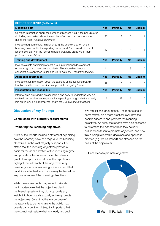| <b>REPORT CONTENTS (24 Reports)</b>                                                                                                                                                                                                                     |            |                  |           |                |
|---------------------------------------------------------------------------------------------------------------------------------------------------------------------------------------------------------------------------------------------------------|------------|------------------|-----------|----------------|
| <b>Licensing data</b>                                                                                                                                                                                                                                   | <b>Yes</b> | <b>Partially</b> | <b>No</b> | <b>Unclear</b> |
| Contains information about the number of licences held in the board's area<br>(including information about the number of occasional licences issued<br>during the year). (Legal requirement)                                                            | 20         | 3                | $\Omega$  |                |
| Includes aggregate data, in relation to 1) the decisions taken by the<br>licensing board within the reporting period, and 2) an overall picture of<br>alcohol availability in the licensing board area (and areas within that).<br>(AFS recommendation) | 17         | 5                |           |                |
| <b>Training and development</b>                                                                                                                                                                                                                         | <b>Yes</b> | <b>Partially</b> | <b>No</b> | <b>Unclear</b> |
| Includes a note on training or continuous professional development<br>of licensing board members and clerks. This should evidence a<br>conscientious approach to keeping up-to-date. (AFS recommendation).                                              | 11         | 4                | 9         | $\Omega$       |
| <b>Additional information</b>                                                                                                                                                                                                                           | <b>Yes</b> | <b>Partially</b> | <b>No</b> | <b>Unclear</b> |
| Includes other information about the exercise of the licensing board's<br>functions as the board considers appropriate. (Legal optional)                                                                                                                | 19         | 0                | 5         | $\Omega$       |
| <b>Presentation and readability</b>                                                                                                                                                                                                                     | <b>Yes</b> | <b>Partially</b> | <b>No</b> | <b>Unclear</b> |
| Information is provided in an accessible and easy to understand way e.g.<br>written in accessible language, avoids repeating at length what is already<br>laid out in law, is an appropriate length etc.). (AFS recommendation)                         | 6          | 12               | 6         | $\Omega$       |

## **Discussion of key findings**

#### **Compliance with statutory requirements**

#### **Promoting the licensing objectives**

All 24 of the reports include a statement explaining how the board(s) have had regard to the licensing objectives. In the vast majority of reports it is stated that the licensing objectives provide a basis for the administration of the licensing regime and provide potential reasons for the refusal/ grant of an application. Most of the reports also highlight that a breach of the objectives may provide grounds for reviewing a licence, and that conditions attached to a licence may be based on any one or more of the licensing objectives.

While these statements may serve to reiterate the important role that the objectives play in the licensing system, they do not provide any insight into how boards actually actively promote the objectives. Given that the key purpose of the reports is to demonstrate to the public how boards carry out their duties, it is important that they do not just restate what is already laid out in law, regulations, or guidance. The reports should demonstrate, on a more practical level, how the boards adhere to and promote the licensing objectives. As such, the reports were also assessed to determine the extent to which they actually outline steps taken to promote objectives, and how this is being reflected in decisions and applied in practice (e.g. refusals/conditions attached on the basis of the objectives).



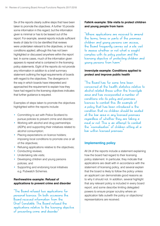<span id="page-15-0"></span>Six of the reports clearly outline steps that have been taken to promote the objectives. A further 10 provide some information in this regard, but the information given is minimal or has to be teased out of the report. For example, several reports include sufficient levels of data for it to be identified that reviews were undertaken relevant to the objectives, or local conditions applied, although this has not been highlighted or discussed anywhere within the report text. In some cases, much of the information given appears to repeat what is contained in the licensing policy statements. Eight of the reports do not provide any information in addition to a brief summary statement outlining the legal requirements of boards with regard to the objectives. The divergence in the way in which boards have interpreted and approached the requirement to explain how they have had regard to the licensing objectives indicates that further guidance is required.

Examples of steps taken to promote the objectives highlighted within the reports include:

- Committing to act with Police Scotland to pursue policies to prevent crime and disorder;
- Working with alcohol and drug partnerships (ADPs) and supporting their initiatives related to alcohol consumption;
- Placing expectations on licence holders; imposing local conditions to promote one or all of the objectives;
- Refusing applications relative to the objectives;
- Conducting reviews;
- Undertaking site visits;
- Developing children and young persons policies; and
- Supporting and endorsing local initiatives e.g. Pubwatch Schemes.

### **Renfrewshire example: Refusal of applications to prevent crime and disorder**

"The Board refused two applications for personal licences. On both occasions the Board received information from the Chief Constable. The Board refused the applications relative to the licensing objective of preventing crime and disorder."

## **Falkirk example: Site visits to protect children and young people from harm**

"Where applications are received to amend the terms, times or parts of the premises children and young persons can access, the Board frequently carries out a site visit to assess whether or not what is sought complies with its policy position and the licensing objective of protecting children and young persons from harm."

#### **Inverclyde example: Conditions applied to protect and improve public health**

"The Board has for some time been concerned at the health statistics relative to alcohol related illness within the Inverclyde area and has incorporated a number of conditions into its policy and premises licences to combat this. An example of a policy that has been introduced is the condition that no children should be seated at the bar area in any licensed premises regardless of whether they are taking a meal or not. This is an attempt to combat the "normalisation" of children sitting at a bar within licensed premises."

## **Implementing policy**

All 24 of the reports include a statement explaining how the board had regard to their licensing policy statement. In particular, they indicate that applications are dealt with in accordance with the statement of licensing policy, and several explain that the board is likely to follow the policy unless an applicant can demonstrate good reasons as to why it should not. In addition, several highlight that any relevant policy is included in every board report, and some describe limiting delegated powers to ensure proper scrutiny where an application falls outwith the policy or objections/ representations are received.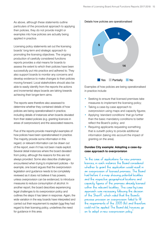As above, although these statements outline particulars of the procedural approach to applying their policies, they do not provide insight or examples into how policies are actually being applied in practice.

Licensing policy statements set out the licensing boards' long-term and strategic approach to promoting the licensing objectives. The ongoing production of carefully considered functions reports provides a vital means for boards to assess the extent to which their policies have been successfully put into practice and adhered to. They also support boards to monitor any concerns and develop evidence to make changes to their policies moving forward. Local stakeholders should also be able to easily identify from the reports the actions and incremental steps boards are taking towards achieving their longer-term aims.

The reports were therefore also assessed to determine whether they contained details of how policies are being operationalised in practice, including details of instances when boards deviated from their stated policies (e.g. granting licences in areas of overprovision) and the associated reasons.

Five of the reports provide meaningful examples of how polices have been operationalised in practice. The majority provide some information in this regard, or relevant information can be drawn out of the report, even if it has not been made explicit. Several detail instances where the board deviated from policy, although the reasons for this are not always provided. Some also describe challenges encountered when trying to implement policies – for example, one board argues that the overprovision legislation and guidance needs to be completely reviewed as it does not believe it has powers, unless overprovision can be evidenced, to introduce measures to reduce consumption of alcohol. In another report, the board describes experiencing legal challenges to its overprovision policy and outlines the steps it has taken in response. Again, the wide variation in the way boards have interpreted and carried out their requirement to explain how they had regard to their licensing policy, underlines the need for guidance in this area.





Examples of how policies are being operationalised in practice include:

- Seeking to ensure that licensed premises take measures to implement the licensing policy;
- Taking a case-by-case approach to overprovision using maps and capacity figures;
- Applying 'standard conditions' that go further than the basic mandatory conditions to better reflect the Board's policy; and
- Requiring applicants requesting something that is outwith policy to provide additional information (taking into account the impact of granting on the area).

### **Dundee City example: Adopting a case-bycase approach to overprovision**

"In the case of applications for new premises licences, in each instance the Board considered whether to grant the application would result in an overprovision of licensed premises... The Board had before it a map showing potential localities and the respective geographical locations and capacity figures of the premises already licensed within the relevant localities... This case-by-case approach was necessary following the decision of the Sheriff... which ruled that the Board's previous provision on overprovision failed to fill the requirements of the 2005 Act and therefore could not be applied. The Board did, however, go on to adopt a new overprovision policy."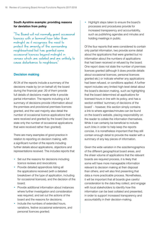## <span id="page-17-0"></span>**South Ayrshire example: providing reasons for deviation from policy**

"The Board will not normally grant occasional licences with a terminal hour later than midnight as it recognises the need to protect the amenity of the surrounding neighbourhood but has granted some occasional licences beyond midnight in venues which are isolated and are unlikely to cause disturbance to neighbours."

## **Decision making**

All 24 of the reports include a summary of the decisions made by (or on behalf of) the board during the financial year; 20 of them provide full details of decisions made while 4 provide partial information. The reports including a full summary of decisions provide information about the premises and provisional premises licences granted, and the vast majority also detail the number of occasional licence applications that were received and granted by the board (two only state only the number of occasional applications that were received rather than granted).

There are many examples of good practice in relation to reporting on decision making, with a significant number of the reports including further details about applications, objections and representations received. This includes reports that:

- Set out the reasons for decisions including licence reviews and revocations;
- Provide detailed appendices listing all the applications received (with a detailed breakdown of the type of application, including for occasional licences), and the decision of the board;
- Provide additional information about instances where further investigation and consideration was required, and set out the actions of the board and the reasons for decisions;
- Include the numbers of extended hours, variations, festive occasional extensions, and personal licences granted;

• Highlight steps taken to ensure the board's processes and procedures provide for increased transparency and accountability, such as publishing agendas and minutes and holding meetings in public.

Of the four reports that were considered to contain only partial information, two provide some detail about the applications that were granted but no information about the numbers of applications that had been received or refused by the board. One report does not state the number of premises licences granted (although it does provide details about occasional licences, personal licences granted etc.) or indicate whether any applications had been refused, or conditions applied. A further report includes very limited high-level detail about the board's decision making, such as highlighting that the board determined all applications for licensed hours in line with its policy, and has a section entitled 'summary of decisions of the board' – however, this section simply contains a link to where agendas/minutes can be found on the board's website, placing responsibility on the reader to collate the information themselves. While it can certainly be beneficial to include such links in order to help keep the reports concise, it is nonetheless important that they still contain enough detail to provide the reader with a summary of any key pieces of information.

Given the wide variation in the size/demographics of the different geographical board areas, and the sheer volume of applications that the relevant boards are required process, it is likely that some will have more manageable information relevant to decision making at their disposal than others, and will also find presenting that data a more practicable process. Nonetheless, it will be important that all boards give careful consideration to the data they collect, and engage with local stakeholders to identify how this information can be best collated and presented, in order to support increased transparency and accountability in their decision-making.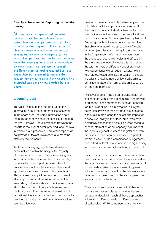### <span id="page-18-0"></span>**East Ayrshire example: Reporting on decision making**

"No objections or representations were received... with the exception of one application for a major variation... to allow an outdoor drinking area... Three letters of objection were received from neighbours expressing concern with regards to the conduct of patrons... and to the level of noise from the premises, in particular an outdoor smoking area... The applicant attended the Board meeting and requested that the application be amended to remove the request for an outdooring drinking area. The amended application was granted by the Board."

## **Licensing data**

The vast majority of the reports (20) contain information about the number of licences held in the board area, including information about the number of occasional licences issued during the year. However, there is variation between the reports in the level of detail provided, and the way in which data is presented. Four of the reports do not provide sufficient levels of data to meet the statutory requirements.

Tables containing aggregate level data have been included within the body of the majority of the reports, with many also summarising key information within the report text. For example, the Aberdeenshire report contains tables to outline details of the total licences in force and applications received for each divisional board. This enables for a quick assessment of overall alcohol provision and decision making in the area. Many of the reports also provide information about the numbers of personal licences held in the board area. In some areas a breakdown of occasional licences and extended hours issued is provided, as well as a breakdown of revocations of premises licences.

Several of the reports include detailed appendices with data about the applications received and licences in force at an individual level; including information about the types of premises, locations, capacity and hours. For example, the Highland and Angus reports both include detailed appendices that allow for a more in-depth analysis of alcohol provision (and decision making) in the board areas. In the Angus report, information is given about the capacity of both the on-sales and off-sales in the area, and the report includes a table to show the total numbers of different types of premises (e.g. convenience stores, supermarkets, hotels, retail stores, restaurants etc.). In addition the table includes the total numbers of licensed premises permitted to trade after 1am, and premises where children are permitted.

This level of detail may be particularly useful for stakeholders with a remit to scrutinise and provide input to the licensing process, such as licensing forums. In addition, this information is likely to be particularly welcomed by those stakeholders with a role in monitoring the extent and impact of alcohol availability in their local area, who have historically experienced difficulties when trying to access information about capacity. A number of the reports signpost to where a register of current premises licences can be accessed. Reports for several areas include a combination of aggregate and individual level data, in addition to signposting to where more detailed information can be found.

Four of the reports provide only partial information; one does not state the number of licences held in the board's area, and two only state the number of occasionals applied for as opposed to granted. In addition, one report states that the relevant data is provided in appendices, but the said appendices are missing from the report.

There are potential advantages both to having a concise and accessible report or one that sets out a lot of detail, with each of these approaches addressing different needs of different types of stakeholder. While some people are likely to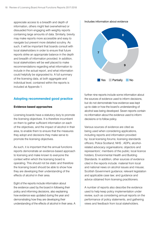<span id="page-19-0"></span>appreciate access to a breadth and depth of information, others might feel overwhelmed or dissuaded from engaging with weighty reports containing large amounts of data. Similarly, brevity may make reports more accessible and easy to navigate but prevent more detailed scrutiny. As such, it will be important that boards consult with local stakeholders in order to ensure that future reports strike an appropriate balance in the depth and breadth of information provided. In addition, local stakeholders will be well placed to make recommendations regarding what information to include in the actual report, and what information could helpfully be signposted to. A full summary of the licensing data, at both aggregate and individual level, contained within the reports is included at Appendix 1.

#### **Adopting recommended good practice**

#### **Evidence-based approaches**

Licensing boards have a statutory duty to promote the licensing objectives. It is therefore incumbent on them to gather sufficient information on each of the objectives, and the impact of alcohol in their area, to enable them to ensure that the measures they adopt and decisions they make serve to promote the licensing objectives.

As such, it is important that the annual functions reports demonstrate an evidence-based approach to licensing and make known to everyone the context within which the licensing board is operating. This should not be static and therefore the licensing board should be able to show how they are developing their understanding of the effects of alcohol in their area.

Eight of the reports include information about the evidence used by the board in following their policy and informing decisions, also explaining how evidence was updated during the year and demonstrating how they are developing their understanding of the effects of alcohol in their area. A

Includes information about evidence



further nine reports include some information about the sources of evidence used to inform decisions, but do not demonstrate how evidence was kept up-to-date or how the board's understanding of alcohol was being developed. Seven reports contain no information about the evidence used to inform decisions or to follow policy.

Various sources of evidence are cited as being used when considering applications, including reports and information provided by: local licensing forums; licensing standards officers; Police Scotland; NHS ; ADPs; alcoholrelated advocacy organisations; objectors and representors'; members of the public; local licence holders; Environmental Health and Building Standards. In addition, other sources of evidence cited in the reports include: material from local and national news on alcohol issues and misuse; Scottish Government guidance; relevant legislation and applicable case law; and guidance and advice obtained from licensing practitioners.

A number of reports also describe the evidence used to help keep policy implementation under review, such as considering annual reports on the performance of policy statements, and gathering views and feedback from local stakeholders.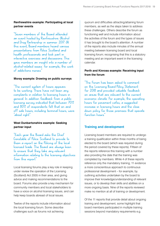## <span id="page-20-0"></span>**Renfrewshire example: Participating at local partner events**

"Seven members of the Board attended an event hosted by Renfrewshire Alcohol and Drug Partnership in summer 2017. At this event, Board members heard various presentations from Police Scotland and health professionals and took part in interactive exercises and discussions. This gave members an insight into a number of alcohol-related issues: for example, the work of addictions nurses."

## **Moray example: Drawing on public surveys**

"The current system of hours appears to be working. There have not been any complaints in relation to licensing hours in general. In addition feedback from a public licensing survey indicated that between 70% and 80% of respondents felt that on and off sale hours, including terminal hours, were "about right".

## **West Dunbartonshire example: Seeking partner input**

"Each year the Board asks the Chief Constable of Police Scotland to provide to them a report on the Policing of the local licensed trade. The Board are always keen to ensure that they take any relevant information relating to the licensing objectives from this report."

Local licensing forums play a key role in keeping under review the operation of the Licensing (Scotland) Act 2005 in their area, and giving advice and making recommendations to the board. Forums also provide a key mechanism for community members and local stakeholders to have a voice on alcohol licensing issues, and can help keep boards abreast of local issues.

Twelve of the reports include information about the local licensing forum. Some describe challenges such as forums not achieving

quorum and difficulties attracting/attaining forum members, as well as the steps taken to address these challenges. Others describe the forum as functioning well and include information about the activities of the forum and the types of issues it has brought to the board's attention. A number of the reports also include minutes of the annual meeting between licensing board and local licensing forum; recognising that this is a statutory meeting and an important event in the licensing calendar.

## **Perth and Kinross example: Receiving input from the forum**

"The Forum has been asked to comment on the Licensing Board Policy Statement for 2018 and provided valuable feedback on areas that are relevant to the current economic climate. For example, the operating hours for pavement cafes, a suggested increase in licensing hours and the close down policy for those premises that operate function hours."

## **Training and development**

Licensing board members are required to undergo a training qualification within three months of being elected to the board (which was required during the period covered by these reports). Fifteen of the reports reference this training with a number also providing the date that the training was completed by members. While 4 of these reports reference only the mandatory training, 11 evidence a more conscientious approach to continuous professional development – for example, by outlining activities undertaken by the board to improve their knowledge/understanding of relevant issues, or to develop their skills and abilities on a more ongoing basis. Nine of the reports reviewed make no mention at all of training or development.

Of the 11 reports that provide detail about ongoing training and development, some highlight that board members participated in multiple training sessions beyond mandatory requirements e.g.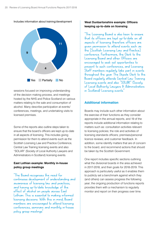<span id="page-21-0"></span>Includes information about training/development



sessions focused on improving understanding of the decision making process, and meetings hosted by the NHS and Police Scotland on various matters relating to the sale and consumption of alcohol. Many describe participation at events/ conferences, meetings, and undertaking visits to licensed premises.

Some of the reports also outline steps taken to ensure that the board's officers are kept up-to-date in all aspects of licensing. This includes giving permission for them to attend events such as the Scottish Licensing Law and Practice Conference, Central Law Training licensing events and also "SOLAR" (Society of Local Authority Lawyers and Administrators in Scotland) licensing events.

### **East Lothian example: Monthly in-house policy group meetings**

"The Board recognises the need for continuous development of understanding and awareness of licensing law and practices, and having up-to-date knowledge of the effect of alcohol on people across East Lothian. This is essential to making informed licensing decisions. With this in mind, Board members are encouraged to attend licensing conferences, seminars and monthly in-house policy group meetings"

### **West Dunbartonshire example: Officers keeping up-to-date on licensing**

"The Licensing Board is also keen to ensure that its officers are kept up-to-date on all aspects of licensing therefore officers are given permission to attend events such as the [Scottish Licensing Law and Practice] conference. Furthermore, the Clerk to the Licensing Board and other Officers are encouraged to seek out opportunities to present to such conferences, and Licensing Staff members regularly take part in events throughout the year. The Depute Clerk to the Board regularly attends Central Law Training Licensing events and also "SOLAR" (Society of Local Authority Lawyers & Administrators in Scotland) Licensing events."

### **Additional information**

Boards may include such other information about the exercise of their functions as they consider appropriate in the annual reports, and 19 of the reports include additional information relating to matters such as: consultation activities relevant to licensing policies; the role and activities of licensing standards officers; premises/personal licence reviews; and customer feedback. In addition, some identify matters that are of concern to the board, and recommend actions that should be taken by the Scottish Government.

One report includes specific sections outlining what the divisional boards in the area achieved in 2017-2018, and their goals for 2018-2019. This approach is particularly useful as it enables them to publicly set a benchmark against which they (and others) can assess progress the following year; the ongoing production of functions reports provides them with a mechanism to regularly monitor and report on their progress over time.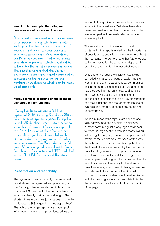#### <span id="page-22-0"></span>**West Lothian example: Reporting on concerns about occasional licences**

"The Board is concerned about the numbers of occasional licences which are granted each year. The fee for each licence is £10 which is insufficient to cover the costs of administering these. More importantly the Board is concerned that many events take place in premises which would not be suitable for the grant of a premises licence... The Board considers that the Scottish Government should give urgent consideration to increasing the fee and limiting the numbers of applications which can be made by all applicants."

### **Moray example: Reporting on the licensing standards officer functions**

"Moray has been without a full time equivalent (FTE) Licensing Standards Officer (LSO) for some approx. 5 years. During that period LSO functions were shared between a number of council officers and equated to 0.4FTE. LSOs would therefore respond to specific requests and consultations but did not undertake a programme of routine visits to premises. The Board decided a full time LSO was required and set aside funds from licence fees to fund a 1.0FTE post that is now filled. Full functions will therefore resume."

## **Presentation and readability**

The legislation does not specify how an annual report should be organised and presented, nor has formal guidance been issued to boards in this regard. Subsequently, the published reports vary considerably in structure and length. The shortest three reports are just 4 pages long, while the longest is 358 pages (including appendices). The bulk of the longer reports are made up of information contained in appendices, principally

relating to the applications received and licences in force in the board area. Web-links have also been used well in a number of the reports to direct interested parties to more detailed information where required.

The wide disparity in the amount of detail contained in the reports underlines the importance of boards consulting with local stakeholders about their contents, in order to ensure that future reports strike an appropriate balance in the depth and breadth of data provided to meet their needs.

Only one of the reports explicitly states it was compiled with a central focus of explaining the work of the relevant boards to local communities. This report uses plain, accessible language and has provided information in clear and concise terms wherever possible. It also includes appendices to explain the role of key stakeholders and their functions, and the report makes use of symbols and imagery to enable navigation and understanding.

While a number of the reports are concise and fairly easy to read and navigate, a significant number contain legalistic language and appear to repeat in large sections what is already laid out in law, regulations, or guidance. It is apparent that several of the reports have not been written with the public in mind. Some have been published in the format of a scanned report by the Clerk to the board, inviting members to approve the annual report, with the actual report itself being attached as an appendix – this gives the impression that the report has been written solely for the attention of board members, as opposed to being accessible and relevant to local communities. A small number of the reports also have formatting issues, including missing appendices and data in tables that appears to have been cut off by the margins of the page.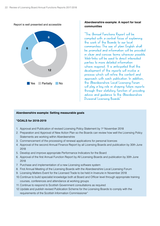

## **Aberdeenshire example: A report for local communities**

"The Annual Functions Report will be compiled with a central focus of explaining the work of the Boards to our local communities. The use of plain English shall be promoted and information will be provided in clear and concise terms wherever possible. Web-links will be used to direct interested parties to more detailed information where required... It is anticipated that the development of the reports will involve a process which will refine the content and approach with each publication. In addition, the Aberdeenshire Local Licensing Forum will play a key role in shaping future reports through their statutory function of providing advice and guidance to the Aberdeenshire Divisional Licensing Boards"

#### **Aberdeenshire example: Setting measurable goals**

#### **"GOALS for 2018-2019**

- 1. Approval and Publication of revised Licensing Policy Statement by 1<sup>st</sup> November 2018
- 2. Preparation and Approval of New Action Plan so the Boards can review how well the Licensing Policy Statements are working within Aberdeenshire
- 3. Commencement of the processing of renewal applications for personal licences
- 4. Approval of the second Annual Finance Report by all Licensing Boards and publication by 30th June 2018
- 5. Develop and improve appropriate Performance Indicators for the Board
- 6. Approval of the first Annual Function Report by All Licensing Boards and publication by 30th June 2018
- 7. Purchase and implementation of a new Licensing software system
- 8. First Annual Meeting of the Licensing Boards with the Aberdeenshire Local Licensing Forum
- 9. Licensing Matters Event for the Licensed Trade to be held in Inverurie in November 2018
- 10.Continue to build specialist knowledge both at Board and Officer level through appropriate training courses, conferences and attendance at working groups
- 11.Continue to respond to Scottish Government consultations as required
- 12.Update and publish revised Publication Scheme for the Licensing Boards to comply with the requirements of the Scottish Information Commissioner"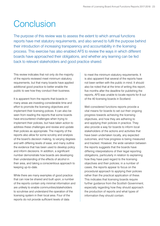## <span id="page-24-0"></span>**Conclusion**

The purpose of this review was to assess the extent to which annual functions reports have met statutory requirements, and also served to fulfil the purpose behind their introduction of increasing transparency and accountability in the licensing process. This exercise has also enabled AFS to review the ways in which different boards have approached their obligations, and whether any learning can be fed back to relevant stakeholders and good practice shared.

This review indicates that not only do the majority of the reports reviewed meet minimum statutory requirements, but that many boards have applied additional good practice to better enable the public to see how they conduct their business.

It is apparent from the reports that boards in many areas are investing considerable time and effort to promote the licensing objectives and implement their licensing polices. It can also be seen from reading the reports that some boards have encountered challenges when trying to implement their policies, but have taken action to address these challenges and review and update their policies as appropriate. The majority of the reports also allow for some scrutiny and analysis of the board's decision making, to varying degrees and with differing levels of ease, and many outline the evidence that has been used to develop policy and inform decisions. In addition, a significant number demonstrate how boards are developing their understanding of the effects of alcohol in their area, and taking a conscientious approach to keeping up-to-date.

While there are many examples of good practice that can now be shared and built upon, a number of the reports contain only minimal information and are unlikely to enable communities/stakeholders to scrutinise and understand the operation of the licensing system in their local area. Four of the reports do not provide sufficient levels of data

to meet the minimum statutory requirements. It is also apparent that several of the reports have not been written with the public in mind. It should also be noted that at the time of writing this report, five months after the deadline for publishing the reports, AFS was unable to locate reports for 8 out of the 40 licensing boards in Scotland.

Well-considered functions reports provide a vital means for boards to set out their ongoing progress towards achieving the licensing objectives, and how they are adhering to and applying their policies in practice. They also provide a way for boards to inform local stakeholders of the actions and activities that have been undertaken locally, any expected outcomes, and how progress is being measured and tracked. However, the wide variation between the reports suggests that the boards have differing interpretations of their legal reporting obligations, particularly in relation to explaining how they have paid regard to the licensing objectives and their policies; in a number of cases, the reports appear to focus on the procedural approach to applying their policies rather than the practical application of these. This indicates that licensing boards require further guidance from the Scottish Government, especially regarding how they should approach the production of reports and what types of information they should contain.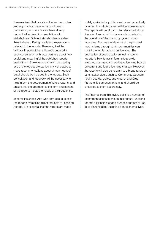It seems likely that boards will refine the content and approach to these reports with each publication, as some boards have already committed to doing in consultation with stakeholders. Different stakeholders are also likely to have differing needs and expectations relevant to the reports. Therefore, it will be critically important that all boards undertake such consultation with local partners about how useful and meaningful the published reports are for them. Stakeholders who will be making use of the reports are particularly well placed to make recommendations about what amount of detail should be included in the reports. Such consultation and feedback will be necessary to help inform the development of future reports, and ensure that the approach to the form and content of the reports meets the needs of their audience.

In some instances, AFS was only able to access the reports by making direct requests to licensing boards. It is essential that the reports are made

widely available for public scrutiny and proactively provided to and discussed with key stakeholders. The reports will be of particular relevance to local licensing forums, which have a role in reviewing the operation of the licensing system in their local area. Forums are also one of the principal mechanisms through which communities can contribute to discussions on licensing. The publication of good quality annual functions reports is likely to assist forums to provide informed comment and advice to licensing boards on current and future licensing strategy. However, the reports will also be relevant to a broad range of other stakeholders such as Community Councils, health boards, police, and Alcohol and Drug Partnerships amongst others, and should be circulated to them accordingly.

The findings from this review point to a number of recommendations to ensure that annual functions reports fulfil their intended purpose and are of use to all stakeholders, including boards themselves.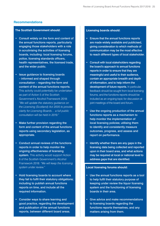#### <span id="page-26-0"></span>**Recommendations**

#### **The Scottish Government should:**

- Consult widely on the form and content of the annual functions reports, particularly engaging those stakeholders with a role in scrutinising the activities of licensing boards, including: local licensing forums, police, licensing standards officers, health representatives, the licensed trade, and the wider public.
- Issue guidance to licensing boards – informed and shaped through consultation – regarding the form and content of the annual functions reports. This activity could potentially be undertaken as part of Action 5 of the Scottish Government's Alcohol Framework 2018: *"We will update the statutory guidance on the Licensing (Scotland) Act 2005 to provide clarity for Licensing Boards… a full public consultation will be held in 2019."*
- Make further provision regarding the form and content of the annual functions reports using secondary legislation, as appropriate.
- Conduct annual reviews of the functions reports in order to help monitor the ongoing effectiveness of licensing system. This activity would support Action 6 of the Scottish Government's Alcohol Framework 2018: *"We will keep the licensing system under review."*
- Hold licensing boards to account where they fail to fulfil their statutory obligations; including to publish annual functions reports on time, and include all the required information.
- Consider ways to share learning and good practice, regarding the development and publication of the annual functions reports, between different board areas.

#### **Licensing boards should:**

- Ensure that the annual functions reports are made widely available and publicised, giving consideration to which methods of communication may be the most effective to reach different types of local stakeholder.
- Consult with local stakeholders regarding the board's approach to annual functions reports in order to ensure that they are meaningful and useful to their audience, contain an appropriate breadth and depth of information, and to help inform the development of future reports. In particular, feedback should be sought from local licensing forums, and the functions reports should be included as an ongoing topic for discussion at joint meetings of the board and forum.
- Use the ongoing production of the annual functions reports as a mechanism to help monitor the implementation of local licensing policies; utilising them to identify and consistently measure outcomes, progress, and assess and report on performance.
- Identify whether there are any gaps in the licensing data being collected and reported upon in their board area, and what actions may be required at local or national level to address gaps that are identified.

#### **Local licensing forums should:**

- Use the annual functions reports as a tool to help fulfil their statutory purpose of keeping under review the liquor licensing system and the functioning of licensing boards in their area.
- Give advice and make recommendations to licensing boards regarding the functions reports themselves, and any matters arising from them.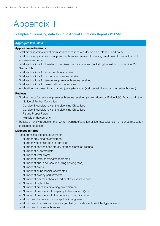## <span id="page-27-0"></span>Appendix 1:

## **Examples of licensing data found in Annual Functions Reports 2017-18**

#### **Aggregate level data**

#### **Applications/decisions**

- Total premises/provisional premises licences received (for on-sale, off-sale, and both)
- Total minor/major variations of premises licences received (including breakdown for substitution of employee and other)
- Total applications for transfer of premises licences received (including breakdown for Section 33/ Section 34)
- Total applications for extended hours received
- Total applications for occasional licences received
- Total applications for temporary premises licences received
- Total applications for personal licences received
- Application outcomes (total: granted (delegated/board)/refused/still being processed/withdrawn)

#### **Reviews**

- Total requests for review of premises licences received (broken down by Police, LSO, Board and other)
	- Notice of Further Conviction
	- Conduct Inconsistent with the Licensing Objectives
	- Conduct Inconsistent with the Licensing Objectives
	- Fit and Proper Person
	- Multiple endorsements
- Results of review requests (total: written warnings/variation of licence/suspension of licence/revocation of licence/no action)

#### **Licences in force**

- Total premises licences (on/off/both)
	- Number providing entertainment
	- Number where children are permitted
	- Number of convenience stores/ express stores/off licence
	- Number of supermarkets
	- Number of retail stores
	- Number of restaurants/cafes/tearooms
	- Number of public houses (including serving food)
	- Number of hotels
	- Number of clubs (social, sports etc.)
	- Number of holiday parks/resorts
	- Number of cinemas, theatres, art centres, events venues
	- Number of nightclubs
	- Number of premises providing entertainment
	- Number of premises with capacity to trade after (X)am
	- Number of premises with the capacity to permit children
- Total number of extended hours applications granted
- Total number of occasional licences granted (and a description of the type of event)
- Total number of personal licences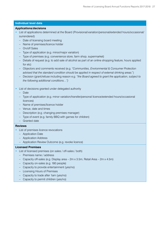#### **Individual level data**

#### **Applications/decisions**

- List of applications determined at the Board (Provisional/variation/personal/extended hours/occasional/ surrendered)
	- Date of licensing board meeting
	- Name of premises/licence holder
	- On/off Sales
	- Type of application (e.g. minor/major variation)
	- Type of premises (e.g. convenience store, farm shop, supermarket)
	- Details of request (e.g. to add sale of alcohol as part of an online shopping feature, hours applied for etc)
	- Objectors and comments received (e.g. "*Communities, Environmental & Consumer Protection advised that the standard condition should be applied in respect of external drinking areas*.")
	- Decision (grant/refuse including reason e.g. *"the Board agreed to grant the application, subject to the following additional conditions…")*
- List of decisions granted under delegated authority
	- Date
	- Type of application (e.g. minor variation/transfer/personal licence/extended hours/occasional licences)
	- Name of premises/licence holder
	- Venue, date and times
	- Description (e.g. changing premises manager)
	- Type of event (e.g. family BBQ with games for children)
	- Granted date

#### **Reviews**

- List of premises licence revocations
	- Application Date
	- Application Address
	- Application Review Outcome (e.g. revoke licence)

#### **Licensed Premises**

- List of licensed premises (on sales / off-sales / both)
	- Premises name / address
	- Capacity off-sales (e.g. Display area 2m x 3.5m, Retail Area 2m x 4.5m)
	- Capacity on-sales (e.g. 180 people)
	- Capacity to provide entertainment (yes/no)
	- Licensing Hours of Premises
	- Capacity to trade after 1am (yes/no)
	- Capacity to permit children (yes/no)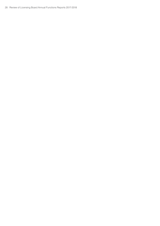28 Review of Licensing Board Annual Functions Reports 2017-2018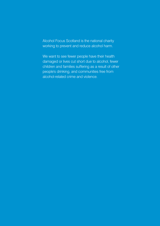Alcohol Focus Scotland is the national charity working to prevent and reduce alcohol harm.

We want to see fewer people have their health damaged or lives cut short due to alcohol, fewer children and families suffering as a result of other people's drinking, and communities free from alcohol-related crime and violence.